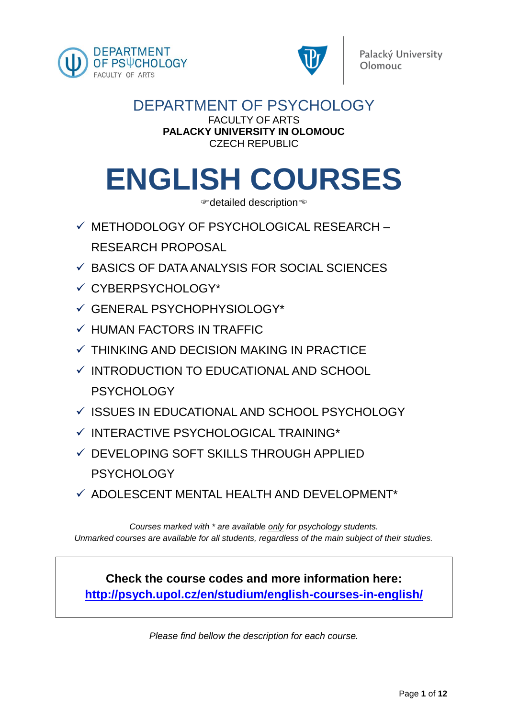



## DEPARTMENT OF PSYCHOLOGY

#### FACULTY OF ARTS **PALACKY UNIVERSITY IN OLOMOUC** CZECH REPUBLIC

# **ENGLISH COURSES**

detailed description

- ✓ METHODOLOGY OF PSYCHOLOGICAL RESEARCH RESEARCH PROPOSAL
- ✓ BASICS OF DATA ANALYSIS FOR SOCIAL SCIENCES
- ✓ CYBERPSYCHOLOGY\*
- ✓ GENERAL PSYCHOPHYSIOLOGY\*
- $\checkmark$  HUMAN FACTORS IN TRAFFIC
- $\checkmark$  THINKING AND DECISION MAKING IN PRACTICE
- ✓ INTRODUCTION TO EDUCATIONAL AND SCHOOL **PSYCHOLOGY**
- ✓ ISSUES IN EDUCATIONAL AND SCHOOL PSYCHOLOGY
- ✓ INTERACTIVE PSYCHOLOGICAL TRAINING\*
- ✓ DEVELOPING SOFT SKILLS THROUGH APPLIED **PSYCHOLOGY**
- $\checkmark$  ADOLESCENT MENTAL HEALTH AND DEVELOPMENT\*

*Courses marked with \* are available only for psychology students. Unmarked courses are available for all students, regardless of the main subject of their studies.*

**Check the course codes and more information here: http://psych.upol.cz/en/studium/english-courses-in-english/**

*Please find bellow the description for each course.*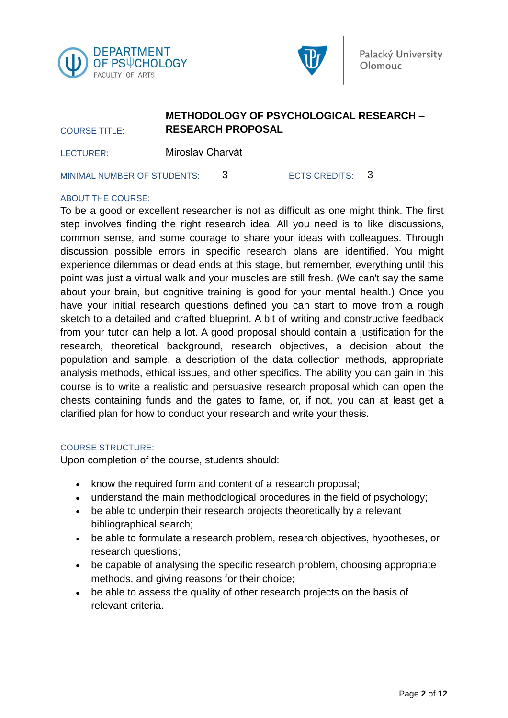



### **METHODOLOGY OF PSYCHOLOGICAL RESEARCH – RESEARCH PROPOSAL**

LECTURER: Miroslav Charvát

MINIMAL NUMBER OF STUDENTS: 3 ECTS CREDITS: 3

#### ABOUT THE COURSE:

COURSE TITLE:

To be a good or excellent researcher is not as difficult as one might think. The first step involves finding the right research idea. All you need is to like discussions, common sense, and some courage to share your ideas with colleagues. Through discussion possible errors in specific research plans are identified. You might experience dilemmas or dead ends at this stage, but remember, everything until this point was just a virtual walk and your muscles are still fresh. (We can't say the same about your brain, but cognitive training is good for your mental health.) Once you have your initial research questions defined you can start to move from a rough sketch to a detailed and crafted blueprint. A bit of writing and constructive feedback from your tutor can help a lot. A good proposal should contain a justification for the research, theoretical background, research objectives, a decision about the population and sample, a description of the data collection methods, appropriate analysis methods, ethical issues, and other specifics. The ability you can gain in this course is to write a realistic and persuasive research proposal which can open the chests containing funds and the gates to fame, or, if not, you can at least get a clarified plan for how to conduct your research and write your thesis.

#### COURSE STRUCTURE:

Upon completion of the course, students should:

- know the required form and content of a research proposal;
- understand the main methodological procedures in the field of psychology;
- be able to underpin their research projects theoretically by a relevant bibliographical search;
- be able to formulate a research problem, research objectives, hypotheses, or research questions;
- be capable of analysing the specific research problem, choosing appropriate methods, and giving reasons for their choice;
- be able to assess the quality of other research projects on the basis of relevant criteria.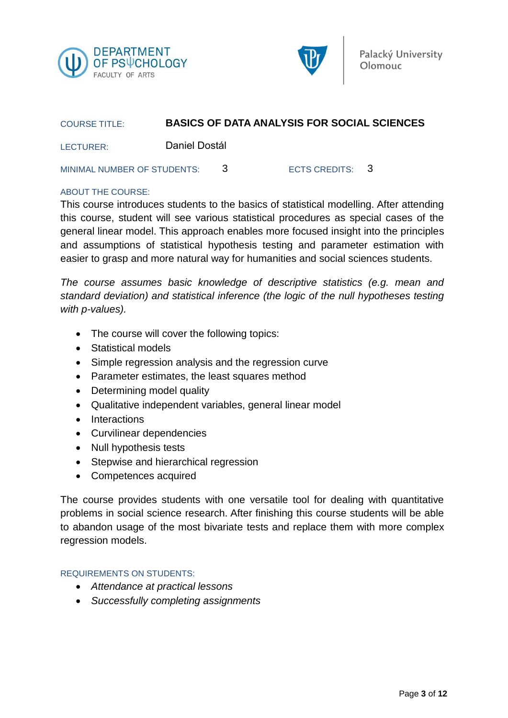



| <b>COURSE TITLE:</b>        | <b>BASICS OF DATA ANALYSIS FOR SOCIAL SCIENCES</b> |    |                 |  |
|-----------------------------|----------------------------------------------------|----|-----------------|--|
| LECTURER:                   | Daniel Dostál                                      |    |                 |  |
| MINIMAL NUMBER OF STUDENTS: |                                                    | -2 | ECTS CREDITS: 3 |  |

#### ABOUT THE COURSE:

This course introduces students to the basics of statistical modelling. After attending this course, student will see various statistical procedures as special cases of the general linear model. This approach enables more focused insight into the principles and assumptions of statistical hypothesis testing and parameter estimation with easier to grasp and more natural way for humanities and social sciences students.

*The course assumes basic knowledge of descriptive statistics (e.g. mean and standard deviation) and statistical inference (the logic of the null hypotheses testing with p-values).* 

- The course will cover the following topics:
- Statistical models
- Simple regression analysis and the regression curve
- Parameter estimates, the least squares method
- Determining model quality
- Qualitative independent variables, general linear model
- Interactions
- Curvilinear dependencies
- Null hypothesis tests
- Stepwise and hierarchical regression
- Competences acquired

The course provides students with one versatile tool for dealing with quantitative problems in social science research. After finishing this course students will be able to abandon usage of the most bivariate tests and replace them with more complex regression models.

#### REQUIREMENTS ON STUDENTS:

- *Attendance at practical lessons*
- *Successfully completing assignments*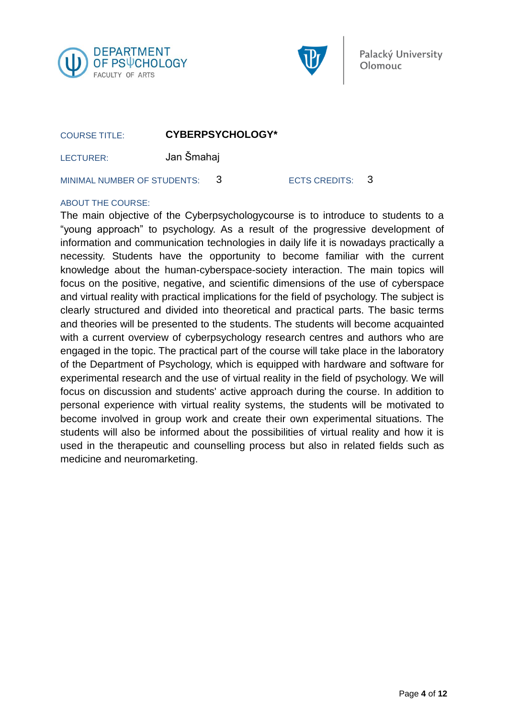



COURSE TITLE: **CYBERPSYCHOLOGY\***

LECTURER: Jan Šmahaj

MINIMAL NUMBER OF STUDENTS: 3 ECTS CREDITS: 3

#### ABOUT THE COURSE:

The main objective of the Cyberpsychologycourse is to introduce to students to a "young approach" to psychology. As a result of the progressive development of information and communication technologies in daily life it is nowadays practically a necessity. Students have the opportunity to become familiar with the current knowledge about the human-cyberspace-society interaction. The main topics will focus on the positive, negative, and scientific dimensions of the use of cyberspace and virtual reality with practical implications for the field of psychology. The subject is clearly structured and divided into theoretical and practical parts. The basic terms and theories will be presented to the students. The students will become acquainted with a current overview of cyberpsychology research centres and authors who are engaged in the topic. The practical part of the course will take place in the laboratory of the Department of Psychology, which is equipped with hardware and software for experimental research and the use of virtual reality in the field of psychology. We will focus on discussion and students' active approach during the course. In addition to personal experience with virtual reality systems, the students will be motivated to become involved in group work and create their own experimental situations. The students will also be informed about the possibilities of virtual reality and how it is used in the therapeutic and counselling process but also in related fields such as medicine and neuromarketing.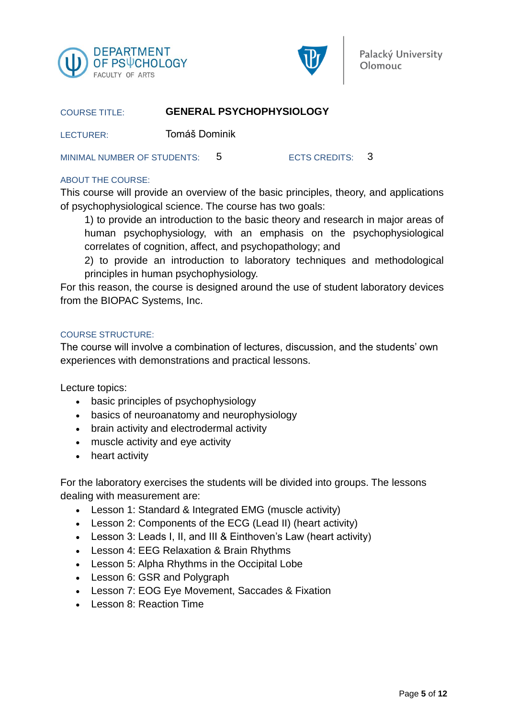



#### COURSE TITLE: **GENERAL PSYCHOPHYSIOLOGY**

LECTURER: Tomáš Dominik

MINIMAL NUMBER OF STUDENTS: 5 ECTS CREDITS: 3

#### ABOUT THE COURSE:

This course will provide an overview of the basic principles, theory, and applications of psychophysiological science. The course has two goals:

1) to provide an introduction to the basic theory and research in major areas of human psychophysiology, with an emphasis on the psychophysiological correlates of cognition, affect, and psychopathology; and

2) to provide an introduction to laboratory techniques and methodological principles in human psychophysiology.

For this reason, the course is designed around the use of student laboratory devices from the BIOPAC Systems, Inc.

#### COURSE STRUCTURE:

The course will involve a combination of lectures, discussion, and the students' own experiences with demonstrations and practical lessons.

Lecture topics:

- basic principles of psychophysiology
- basics of neuroanatomy and neurophysiology
- brain activity and electrodermal activity
- muscle activity and eye activity
- heart activity

For the laboratory exercises the students will be divided into groups. The lessons dealing with measurement are:

- Lesson 1: Standard & Integrated EMG (muscle activity)
- Lesson 2: Components of the ECG (Lead II) (heart activity)
- Lesson 3: Leads I, II, and III & Einthoven's Law (heart activity)
- Lesson 4: EEG Relaxation & Brain Rhythms
- Lesson 5: Alpha Rhythms in the Occipital Lobe
- Lesson 6: GSR and Polygraph
- Lesson 7: EOG Eye Movement, Saccades & Fixation
- Lesson 8: Reaction Time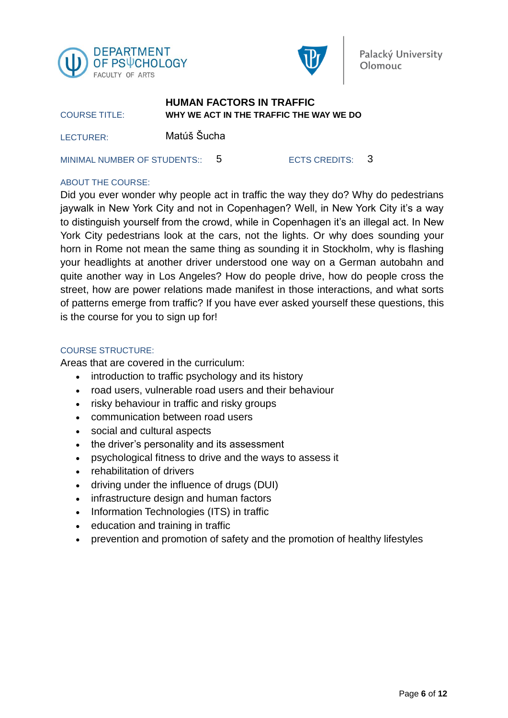



#### COURSE TITLE: **HUMAN FACTORS IN TRAFFIC WHY WE ACT IN THE TRAFFIC THE WAY WE DO**

LECTURER: Matúš Šucha

MINIMAL NUMBER OF STUDENTS:: 5 ECTS CREDITS: 3

#### ABOUT THE COURSE:

Did you ever wonder why people act in traffic the way they do? Why do pedestrians jaywalk in New York City and not in Copenhagen? Well, in New York City it's a way to distinguish yourself from the crowd, while in Copenhagen it's an illegal act. In New York City pedestrians look at the cars, not the lights. Or why does sounding your horn in Rome not mean the same thing as sounding it in Stockholm, why is flashing your headlights at another driver understood one way on a German autobahn and quite another way in Los Angeles? How do people drive, how do people cross the street, how are power relations made manifest in those interactions, and what sorts of patterns emerge from traffic? If you have ever asked yourself these questions, this is the course for you to sign up for!

#### COURSE STRUCTURE:

Areas that are covered in the curriculum:

- introduction to traffic psychology and its history
- road users, vulnerable road users and their behaviour
- risky behaviour in traffic and risky groups
- communication between road users
- social and cultural aspects
- the driver's personality and its assessment
- psychological fitness to drive and the ways to assess it
- rehabilitation of drivers
- driving under the influence of drugs (DUI)
- infrastructure design and human factors
- Information Technologies (ITS) in traffic
- education and training in traffic
- prevention and promotion of safety and the promotion of healthy lifestyles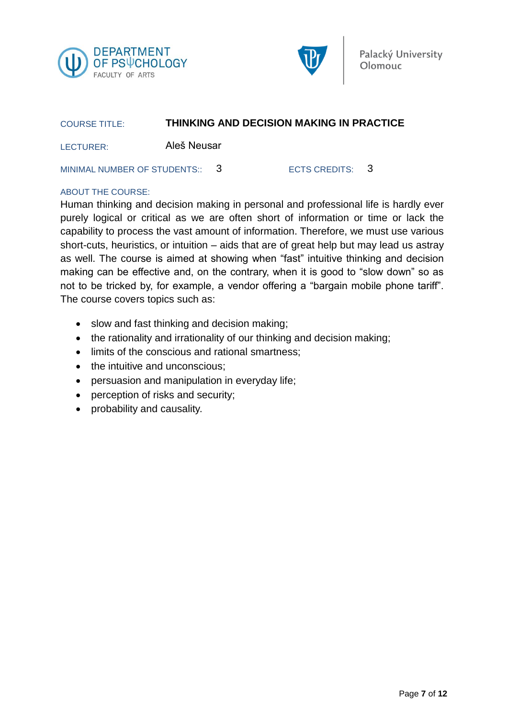



## COURSE TITLE: **THINKING AND DECISION MAKING IN PRACTICE**

LECTURER: Aleš Neusar

MINIMAL NUMBER OF STUDENTS: 3 ECTS CREDITS: 3

#### ABOUT THE COURSE:

Human thinking and decision making in personal and professional life is hardly ever purely logical or critical as we are often short of information or time or lack the capability to process the vast amount of information. Therefore, we must use various short-cuts, heuristics, or intuition – aids that are of great help but may lead us astray as well. The course is aimed at showing when "fast" intuitive thinking and decision making can be effective and, on the contrary, when it is good to "slow down" so as not to be tricked by, for example, a vendor offering a "bargain mobile phone tariff". The course covers topics such as:

- slow and fast thinking and decision making;
- the rationality and irrationality of our thinking and decision making;
- limits of the conscious and rational smartness;
- the intuitive and unconscious:
- persuasion and manipulation in everyday life;
- perception of risks and security;
- probability and causality.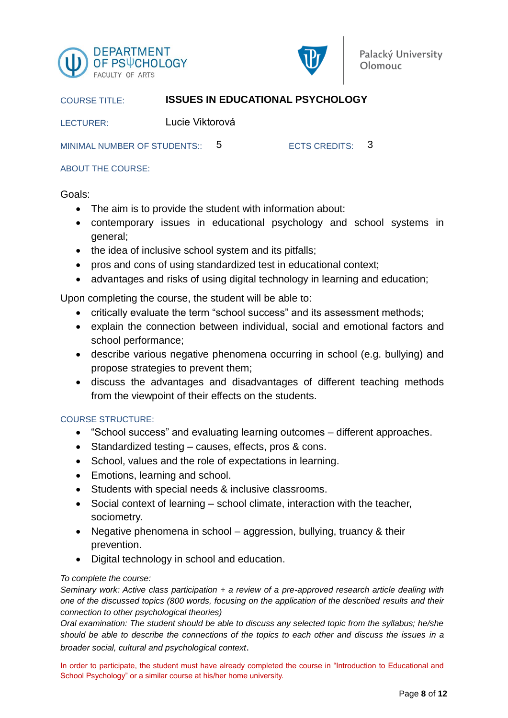



#### COURSE TITLE: **ISSUES IN EDUCATIONAL PSYCHOLOGY**

LECTURER: Lucie Viktorová

MINIMAL NUMBER OF STUDENTS:: 5 ECTS CREDITS: 3

ABOUT THE COURSE:

#### Goals:

- The aim is to provide the student with information about:
- contemporary issues in educational psychology and school systems in general;
- the idea of inclusive school system and its pitfalls;
- pros and cons of using standardized test in educational context;
- advantages and risks of using digital technology in learning and education;

Upon completing the course, the student will be able to:

- critically evaluate the term "school success" and its assessment methods;
- explain the connection between individual, social and emotional factors and school performance;
- describe various negative phenomena occurring in school (e.g. bullying) and propose strategies to prevent them;
- discuss the advantages and disadvantages of different teaching methods from the viewpoint of their effects on the students.

#### COURSE STRUCTURE:

- "School success" and evaluating learning outcomes different approaches.
- Standardized testing causes, effects, pros & cons.
- School, values and the role of expectations in learning.
- Emotions, learning and school.
- Students with special needs & inclusive classrooms.
- Social context of learning school climate, interaction with the teacher, sociometry.
- Negative phenomena in school aggression, bullying, truancy & their prevention.
- Digital technology in school and education.

#### *To complete the course:*

*Seminary work: Active class participation + a review of a pre-approved research article dealing with one of the discussed topics (800 words, focusing on the application of the described results and their connection to other psychological theories)*

*Oral examination: The student should be able to discuss any selected topic from the syllabus; he/she should be able to describe the connections of the topics to each other and discuss the issues in a broader social, cultural and psychological context*.

In order to participate, the student must have already completed the course in "Introduction to Educational and School Psychology" or a similar course at his/her home university.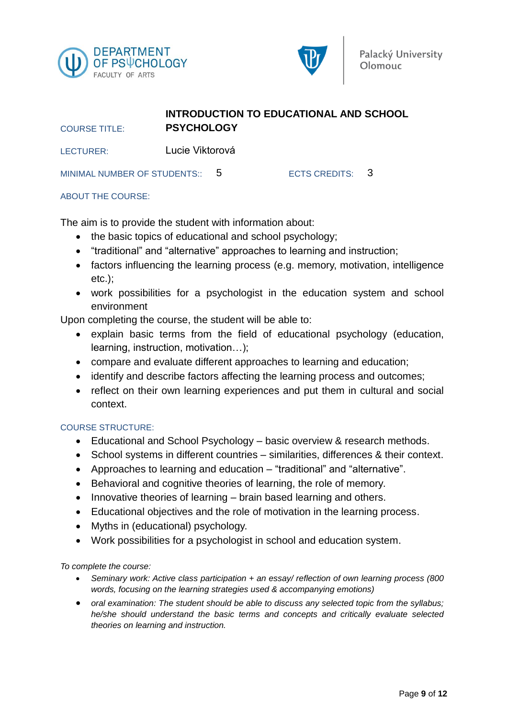



#### **INTRODUCTION TO EDUCATIONAL AND SCHOOL PSYCHOLOGY**

LECTURER: Lucie Viktorová

MINIMAL NUMBER OF STUDENTS:: 5 ECTS CREDITS: 3

#### ABOUT THE COURSE:

COURSE TITLE:

The aim is to provide the student with information about:

- the basic topics of educational and school psychology;
- "traditional" and "alternative" approaches to learning and instruction;
- factors influencing the learning process (e.g. memory, motivation, intelligence etc.);
- work possibilities for a psychologist in the education system and school environment

Upon completing the course, the student will be able to:

- explain basic terms from the field of educational psychology (education, learning, instruction, motivation…);
- compare and evaluate different approaches to learning and education;
- identify and describe factors affecting the learning process and outcomes;
- reflect on their own learning experiences and put them in cultural and social context.

#### COURSE STRUCTURE:

- Educational and School Psychology basic overview & research methods.
- School systems in different countries similarities, differences & their context.
- Approaches to learning and education "traditional" and "alternative".
- Behavioral and cognitive theories of learning, the role of memory.
- Innovative theories of learning brain based learning and others.
- Educational objectives and the role of motivation in the learning process.
- Myths in (educational) psychology.
- Work possibilities for a psychologist in school and education system.

*To complete the course:*

- *Seminary work: Active class participation + an essay/ reflection of own learning process (800 words, focusing on the learning strategies used & accompanying emotions)*
- *oral examination: The student should be able to discuss any selected topic from the syllabus; he/she should understand the basic terms and concepts and critically evaluate selected theories on learning and instruction.*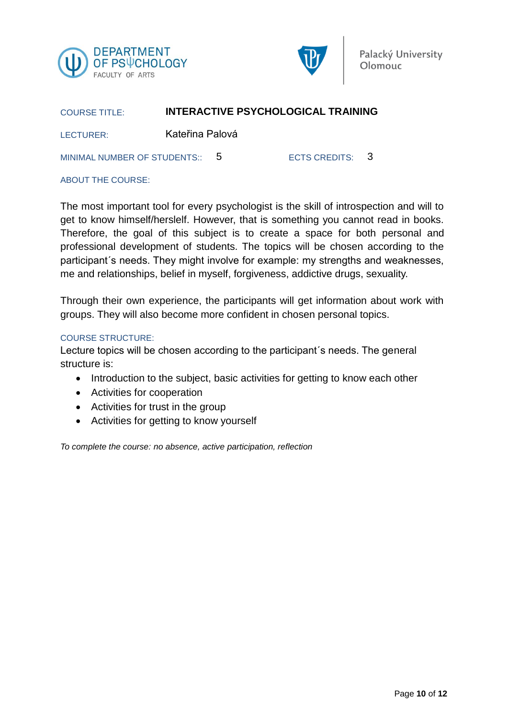



#### COURSE TITLE: **INTERACTIVE PSYCHOLOGICAL TRAINING**

LECTURER: Kateřina Palová

MINIMAL NUMBER OF STUDENTS:: 5 ECTS CREDITS: 3

#### ABOUT THE COURSE:

The most important tool for every psychologist is the skill of introspection and will to get to know himself/herslelf. However, that is something you cannot read in books. Therefore, the goal of this subject is to create a space for both personal and professional development of students. The topics will be chosen according to the participant´s needs. They might involve for example: my strengths and weaknesses, me and relationships, belief in myself, forgiveness, addictive drugs, sexuality.

Through their own experience, the participants will get information about work with groups. They will also become more confident in chosen personal topics.

#### COURSE STRUCTURE:

Lecture topics will be chosen according to the participant´s needs. The general structure is:

- Introduction to the subject, basic activities for getting to know each other
- Activities for cooperation
- Activities for trust in the group
- Activities for getting to know yourself

*To complete the course: no absence, active participation, reflection*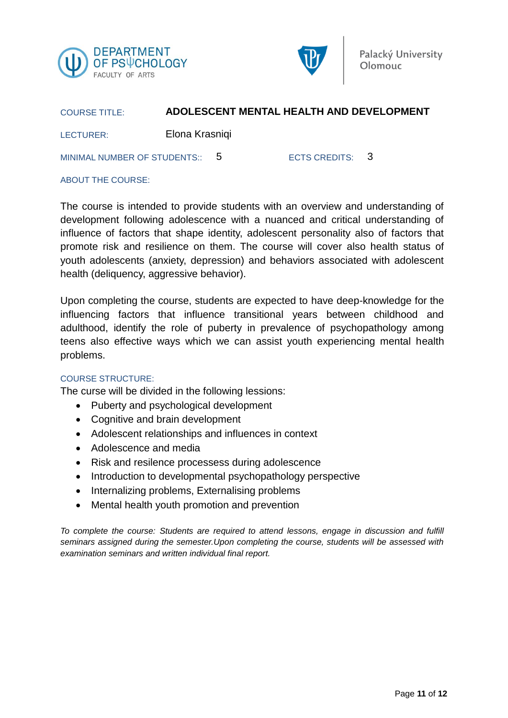



#### COURSE TITLE: **ADOLESCENT MENTAL HEALTH AND DEVELOPMENT**

LECTURER: Elona Krasniqi

MINIMAL NUMBER OF STUDENTS:: 5 ECTS CREDITS: 3

#### ABOUT THE COURSE:

The course is intended to provide students with an overview and understanding of development following adolescence with a nuanced and critical understanding of influence of factors that shape identity, adolescent personality also of factors that promote risk and resilience on them. The course will cover also health status of youth adolescents (anxiety, depression) and behaviors associated with adolescent health (deliquency, aggressive behavior).

Upon completing the course, students are expected to have deep-knowledge for the influencing factors that influence transitional years between childhood and adulthood, identify the role of puberty in prevalence of psychopathology among teens also effective ways which we can assist youth experiencing mental health problems.

#### COURSE STRUCTURE:

The curse will be divided in the following lessions:

- Puberty and psychological development
- Cognitive and brain development
- Adolescent relationships and influences in context
- Adolescence and media
- Risk and resilence processess during adolescence
- Introduction to developmental psychopathology perspective
- Internalizing problems, Externalising problems
- Mental health youth promotion and prevention

*To complete the course: Students are required to attend lessons, engage in discussion and fulfill seminars assigned during the semester.Upon completing the course, students will be assessed with examination seminars and written individual final report.*